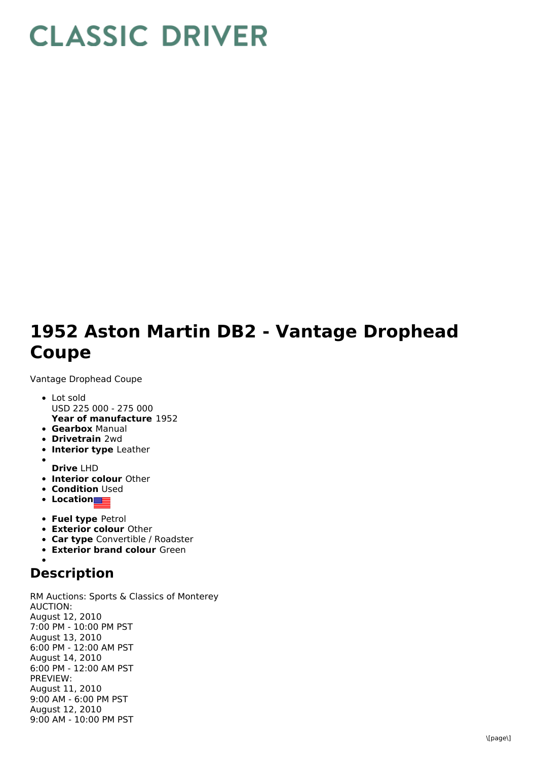## **CLASSIC DRIVER**

## **1952 Aston Martin DB2 - Vantage Drophead Coupe**

Vantage Drophead Coupe

- **Year of manufacture** 1952 Lot sold USD 225 000 - 275 000
- **Gearbox** Manual
- **Drivetrain** 2wd
- **Interior type** Leather
- **Drive** LHD
- **Interior colour** Other
- **Condition** Used
- **Location**
- **Fuel type** Petrol
- **Exterior colour** Other
- **Car type** Convertible / Roadster
- **Exterior brand colour** Green

## **Description**

RM Auctions: Sports & Classics of Monterey AUCTION: August 12, 2010 7:00 PM - 10:00 PM PST August 13, 2010 6:00 PM - 12:00 AM PST August 14, 2010 6:00 PM - 12:00 AM PST PREVIEW: August 11, 2010 9:00 AM - 6:00 PM PST August 12, 2010 9:00 AM - 10:00 PM PST